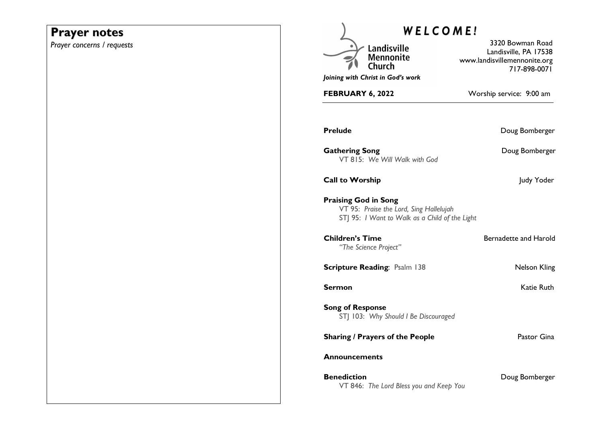# **Prayer notes**

*Prayer concerns / requests* 

| WELCOME!                                                                                                                 |                                                                                           |
|--------------------------------------------------------------------------------------------------------------------------|-------------------------------------------------------------------------------------------|
| Landisville<br><b>Mennonite</b><br>Church<br>Joining with Christ in God's work                                           | 3320 Bowman Road<br>Landisville, PA 17538<br>www.landisvillemennonite.org<br>717-898-0071 |
| <b>FEBRUARY 6, 2022</b>                                                                                                  | Worship service: 9:00 am                                                                  |
| <b>Prelude</b>                                                                                                           | Doug Bomberger                                                                            |
| <b>Gathering Song</b><br>VT 815: We Will Walk with God                                                                   | Doug Bomberger                                                                            |
| <b>Call to Worship</b>                                                                                                   | Judy Yoder                                                                                |
| <b>Praising God in Song</b><br>VT 95: Praise the Lord, Sing Hallelujah<br>STJ 95: I Want to Walk as a Child of the Light |                                                                                           |
| <b>Children's Time</b><br>"The Science Project"                                                                          | Bernadette and Harold                                                                     |
| <b>Scripture Reading: Psalm 138</b>                                                                                      | Nelson Kling                                                                              |
| Sermon                                                                                                                   | Katie Ruth                                                                                |
| <b>Song of Response</b><br>STJ 103: Why Should I Be Discouraged                                                          |                                                                                           |
| <b>Sharing / Prayers of the People</b>                                                                                   | Pastor Gina                                                                               |
| <b>Announcements</b>                                                                                                     |                                                                                           |
| <b>Benediction</b><br>VT 846: The Lord Bless you and Keep You                                                            | Doug Bomberger                                                                            |